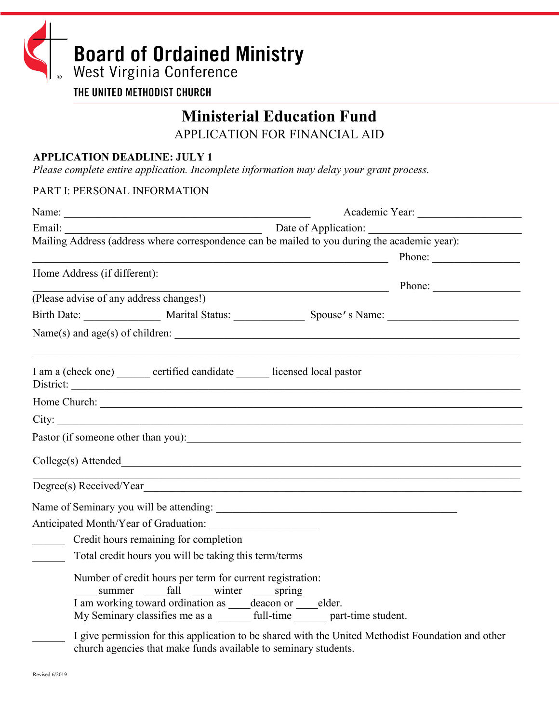

THE UNITED METHODIST CHURCH

# **Ministerial Education Fund**

APPLICATION FOR FINANCIAL AID

## **APPLICATION DEADLINE: JULY 1**

*Please complete entire application. Incomplete information may delay your grant process.*

#### PART I: PERSONAL INFORMATION

| Email:                                                                                                                    |                                                                                                                                                                                                                                                                                                                    |  |
|---------------------------------------------------------------------------------------------------------------------------|--------------------------------------------------------------------------------------------------------------------------------------------------------------------------------------------------------------------------------------------------------------------------------------------------------------------|--|
|                                                                                                                           | Mailing Address (address where correspondence can be mailed to you during the academic year):                                                                                                                                                                                                                      |  |
|                                                                                                                           | Phone:<br><u> 1989 - Johann Barbara, martxa eta politikaria (h. 1989).</u>                                                                                                                                                                                                                                         |  |
| Home Address (if different):                                                                                              |                                                                                                                                                                                                                                                                                                                    |  |
|                                                                                                                           | Phone:<br><u> 1989 - Johann Stoff, fransk politik (d. 1989)</u>                                                                                                                                                                                                                                                    |  |
| (Please advise of any address changes!)                                                                                   |                                                                                                                                                                                                                                                                                                                    |  |
|                                                                                                                           |                                                                                                                                                                                                                                                                                                                    |  |
|                                                                                                                           |                                                                                                                                                                                                                                                                                                                    |  |
| I am a (check one) ______ certified candidate ______ licensed local pastor                                                |                                                                                                                                                                                                                                                                                                                    |  |
|                                                                                                                           |                                                                                                                                                                                                                                                                                                                    |  |
|                                                                                                                           |                                                                                                                                                                                                                                                                                                                    |  |
|                                                                                                                           |                                                                                                                                                                                                                                                                                                                    |  |
|                                                                                                                           |                                                                                                                                                                                                                                                                                                                    |  |
|                                                                                                                           | ,我们也不能在这里的时候,我们也不能在这里的时候,我们也不能会在这里的时候,我们也不能会在这里的时候,我们也不能会在这里的时候,我们也不能会在这里的时候,我们也<br>Degree(s) Received/Year expansion of the contract of the contract of the contract of the contract of the contract of the contract of the contract of the contract of the contract of the contract of the contract of the contr |  |
|                                                                                                                           |                                                                                                                                                                                                                                                                                                                    |  |
| Anticipated Month/Year of Graduation:                                                                                     |                                                                                                                                                                                                                                                                                                                    |  |
| Credit hours remaining for completion                                                                                     |                                                                                                                                                                                                                                                                                                                    |  |
| Total credit hours you will be taking this term/terms                                                                     |                                                                                                                                                                                                                                                                                                                    |  |
| Number of credit hours per term for current registration:<br>I am working toward ordination as _____deacon or _____elder. |                                                                                                                                                                                                                                                                                                                    |  |
|                                                                                                                           | I give permission for this application to be shared with the United Methodist Foundation and other                                                                                                                                                                                                                 |  |

church agencies that make funds available to seminary students.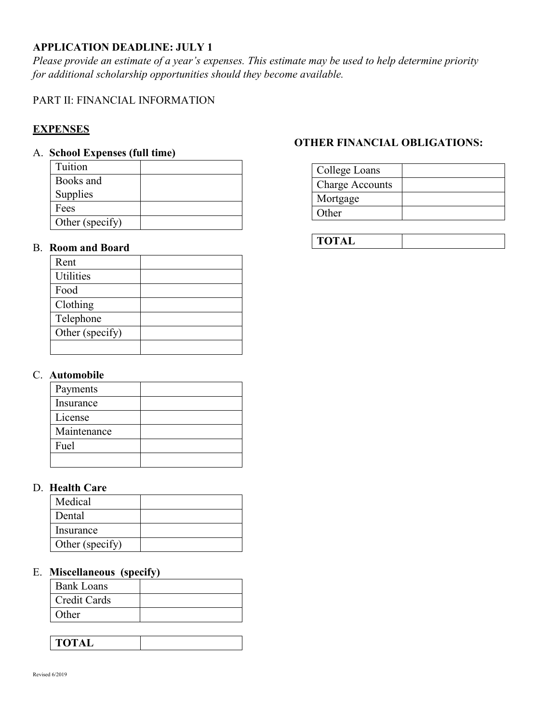# **APPLICATION DEADLINE: JULY 1**

*Please provide an estimate of a year's expenses. This estimate may be used to help determine priority for additional scholarship opportunities should they become available.* 

## PART II: FINANCIAL INFORMATION

# **EXPENSES**

## A. **School Expenses (full time)**

| Tuition         |  |
|-----------------|--|
| Books and       |  |
| Supplies        |  |
| Fees            |  |
| Other (specify) |  |

## B. **Room and Board**

| Rent             |  |
|------------------|--|
| <b>Utilities</b> |  |
| Food             |  |
| Clothing         |  |
| Telephone        |  |
| Other (specify)  |  |
|                  |  |

#### C. **Automobile**

| Payments    |  |
|-------------|--|
| Insurance   |  |
| License     |  |
| Maintenance |  |
| Fuel        |  |
|             |  |

## D. **Health Care**

| Medical         |  |
|-----------------|--|
| Dental          |  |
| Insurance       |  |
| Other (specify) |  |

#### E. **Miscellaneous (specify)**

| <b>Bank Loans</b>   |  |
|---------------------|--|
| <b>Credit Cards</b> |  |
| Other               |  |

| $\sim$ $\sim$<br>ັ<br>. . |  |
|---------------------------|--|
|                           |  |

## **OTHER FINANCIAL OBLIGATIONS:**

| College Loans          |  |
|------------------------|--|
| <b>Charge Accounts</b> |  |
| Mortgage               |  |
| Other                  |  |

| <b>TOTAL</b> |  |
|--------------|--|
|              |  |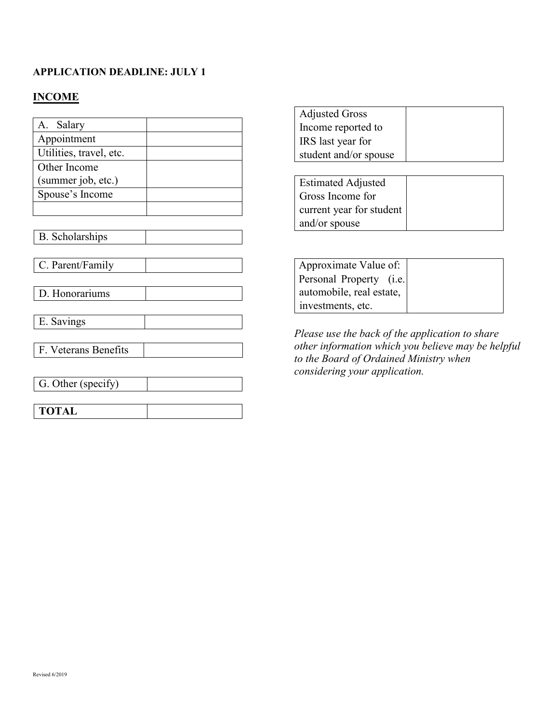## **APPLICATION DEADLINE: JULY 1**

# **INCOME**

| Salary<br>A.            |  |
|-------------------------|--|
| Appointment             |  |
| Utilities, travel, etc. |  |
| Other Income            |  |
| (summer job, etc.)      |  |
| Spouse's Income         |  |
|                         |  |

B. Scholarships

C. Parent/Family

D. Honorariums

E. Savings

F. Veterans Benefits

G. Other (specify)

| TOTAL | <b>TOTAL</b> |  |
|-------|--------------|--|
|-------|--------------|--|

| <b>Adjusted Gross</b> |  |
|-----------------------|--|
| Income reported to    |  |
| IRS last year for     |  |
| student and/or spouse |  |

| <b>Estimated Adjusted</b> |  |
|---------------------------|--|
| Gross Income for          |  |
| current year for student  |  |
| and/or spouse             |  |

Approximate Value of: Personal Property (i.e. automobile, real estate, investments, etc.

*Please use the back of the application to share other information which you believe may be helpful to the Board of Ordained Ministry when considering your application.*